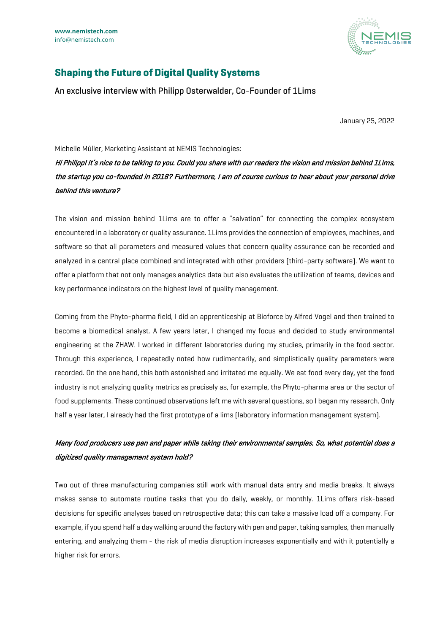

# **Shaping the Future of Digital Quality Systems**

An exclusive interview with Philipp Osterwalder, Co-Founder of 1Lims

January 25, 2022

Michelle Müller, Marketing Assistant at NEMIS Technologies:

Hi Philipp! It's nice to be talking to you. Could you share with our readers the vision and mission behind 1Lims, the startup you co-founded in 2018? Furthermore, I am of course curious to hear about your personal drive behind this venture?

The vision and mission behind 1Lims are to offer a "salvation" for connecting the complex ecosystem encountered in a laboratory or quality assurance. 1Lims provides the connection of employees, machines, and software so that all parameters and measured values that concern quality assurance can be recorded and analyzed in a central place combined and integrated with other providers (third-party software). We want to offer a platform that not only manages analytics data but also evaluates the utilization of teams, devices and key performance indicators on the highest level of quality management.

Coming from the Phyto-pharma field, I did an apprenticeship at Bioforce by Alfred Vogel and then trained to become a biomedical analyst. A few years later, I changed my focus and decided to study environmental engineering at the ZHAW. I worked in different laboratories during my studies, primarily in the food sector. Through this experience, I repeatedly noted how rudimentarily, and simplistically quality parameters were recorded. On the one hand, this both astonished and irritated me equally. We eat food every day, yet the food industry is not analyzing quality metrics as precisely as, for example, the Phyto-pharma area or the sector of food supplements. These continued observations left me with several questions, so I began my research. Only half a year later, I already had the first prototype of a lims (laboratory information management system).

## Many food producers use pen and paper while taking their environmental samples. So, what potential does a digitized quality management system hold?

Two out of three manufacturing companies still work with manual data entry and media breaks. It always makes sense to automate routine tasks that you do daily, weekly, or monthly. 1Lims offers risk-based decisions for specific analyses based on retrospective data; this can take a massive load off a company. For example, if you spend half a day walking around the factory with pen and paper, taking samples, then manually entering, and analyzing them - the risk of media disruption increases exponentially and with it potentially a higher risk for errors.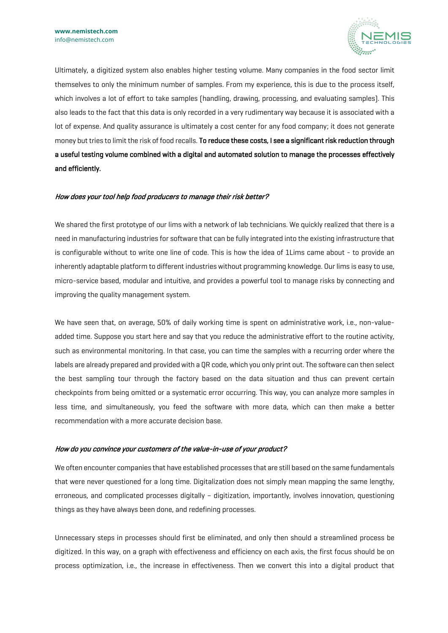

Ultimately, a digitized system also enables higher testing volume. Many companies in the food sector limit themselves to only the minimum number of samples. From my experience, this is due to the process itself, which involves a lot of effort to take samples (handling, drawing, processing, and evaluating samples). This also leads to the fact that this data is only recorded in a very rudimentary way because it is associated with a lot of expense. And quality assurance is ultimately a cost center for any food company; it does not generate money but tries to limit the risk of food recalls. To reduce these costs, I see a significant risk reduction through a useful testing volume combined with a digital and automated solution to manage the processes effectively and efficiently.

#### How does your tool help food producers to manage their risk better?

We shared the first prototype of our lims with a network of lab technicians. We quickly realized that there is a need in manufacturing industries for software that can be fully integrated into the existing infrastructure that is configurable without to write one line of code. This is how the idea of 1Lims came about - to provide an inherently adaptable platform to different industries without programming knowledge. Our lims is easy to use, micro-service based, modular and intuitive, and provides a powerful tool to manage risks by connecting and improving the quality management system.

We have seen that, on average, 50% of daily working time is spent on administrative work, i.e., non-valueadded time. Suppose you start here and say that you reduce the administrative effort to the routine activity, such as environmental monitoring. In that case, you can time the samples with a recurring order where the labels are already prepared and provided with a QR code, which you only print out. The software can then select the best sampling tour through the factory based on the data situation and thus can prevent certain checkpoints from being omitted or a systematic error occurring. This way, you can analyze more samples in less time, and simultaneously, you feed the software with more data, which can then make a better recommendation with a more accurate decision base.

#### How do you convince your customers of the value-in-use of your product?

We often encounter companies that have established processes that are still based on the same fundamentals that were never questioned for a long time. Digitalization does not simply mean mapping the same lengthy, erroneous, and complicated processes digitally – digitization, importantly, involves innovation, questioning things as they have always been done, and redefining processes.

Unnecessary steps in processes should first be eliminated, and only then should a streamlined process be digitized. In this way, on a graph with effectiveness and efficiency on each axis, the first focus should be on process optimization, i.e., the increase in effectiveness. Then we convert this into a digital product that